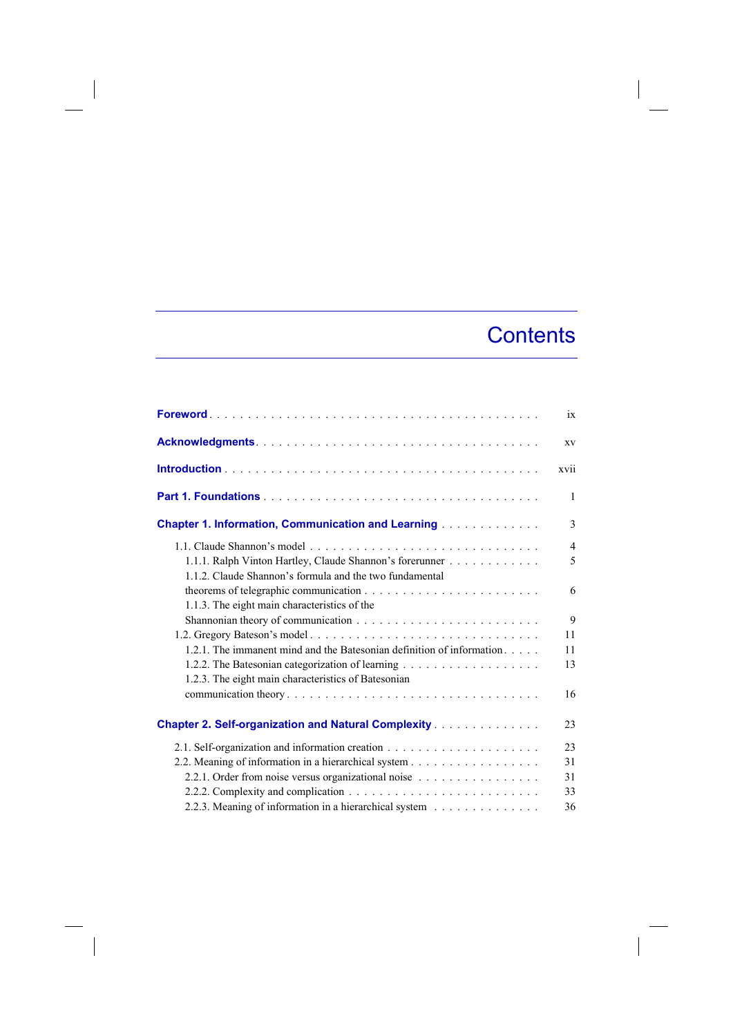## **Contents**

 $\overline{\phantom{a}}$ 

|                                                                       | ix             |
|-----------------------------------------------------------------------|----------------|
|                                                                       | XV             |
|                                                                       | xvii           |
|                                                                       | $\mathbf{1}$   |
| <b>Chapter 1. Information, Communication and Learning</b>             | 3              |
|                                                                       | $\overline{4}$ |
| 1.1.1. Ralph Vinton Hartley, Claude Shannon's forerunner              | 5              |
| 1.1.2. Claude Shannon's formula and the two fundamental               |                |
|                                                                       | 6              |
| 1.1.3. The eight main characteristics of the                          |                |
|                                                                       | 9              |
|                                                                       | 11             |
| 1.2.1. The immanent mind and the Batesonian definition of information | 11             |
|                                                                       | 13             |
| 1.2.3. The eight main characteristics of Batesonian                   |                |
|                                                                       | 16             |
| <b>Chapter 2. Self-organization and Natural Complexity</b>            | 23             |
|                                                                       | 23             |
| 2.2. Meaning of information in a hierarchical system                  | 31             |
| 2.2.1. Order from noise versus organizational noise                   | 31             |
|                                                                       | 33             |
| 2.2.3. Meaning of information in a hierarchical system                | 36             |

 $\overline{\phantom{a}}$ 

 $\overline{\phantom{a}}$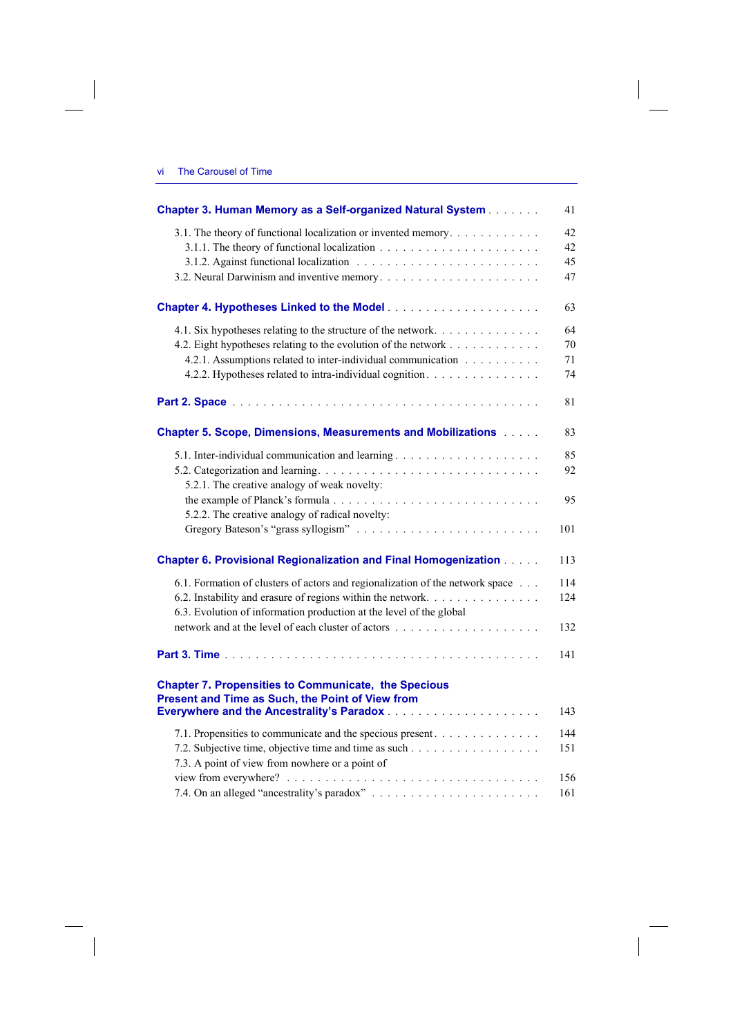$\overline{\phantom{a}}$ 

 $\overline{\phantom{a}}$ 

| <b>Chapter 3. Human Memory as a Self-organized Natural System</b>                                               | 41  |
|-----------------------------------------------------------------------------------------------------------------|-----|
| 3.1. The theory of functional localization or invented memory.                                                  | 42  |
|                                                                                                                 | 42  |
|                                                                                                                 | 45  |
|                                                                                                                 | 47  |
|                                                                                                                 | 63  |
| 4.1. Six hypotheses relating to the structure of the network.                                                   | 64  |
| 4.2. Eight hypotheses relating to the evolution of the network                                                  | 70  |
| 4.2.1. Assumptions related to inter-individual communication                                                    | 71  |
| 4.2.2. Hypotheses related to intra-individual cognition.                                                        | 74  |
|                                                                                                                 | 81  |
| <b>Chapter 5. Scope, Dimensions, Measurements and Mobilizations Albert 2.</b>                                   | 83  |
|                                                                                                                 | 85  |
|                                                                                                                 | 92  |
| 5.2.1. The creative analogy of weak novelty:                                                                    |     |
| 5.2.2. The creative analogy of radical novelty:                                                                 | 95  |
|                                                                                                                 | 101 |
| <b>Chapter 6. Provisional Regionalization and Final Homogenization [1996]</b>                                   | 113 |
| 6.1. Formation of clusters of actors and regionalization of the network space                                   | 114 |
| 6.2. Instability and erasure of regions within the network                                                      | 124 |
| 6.3. Evolution of information production at the level of the global                                             |     |
|                                                                                                                 | 132 |
|                                                                                                                 | 141 |
| <b>Chapter 7. Propensities to Communicate, the Specious</b><br>Present and Time as Such, the Point of View from |     |
|                                                                                                                 | 143 |
| 7.1. Propensities to communicate and the specious present.                                                      | 144 |
|                                                                                                                 | 151 |
| 7.3. A point of view from nowhere or a point of                                                                 |     |
|                                                                                                                 | 156 |
|                                                                                                                 | 161 |